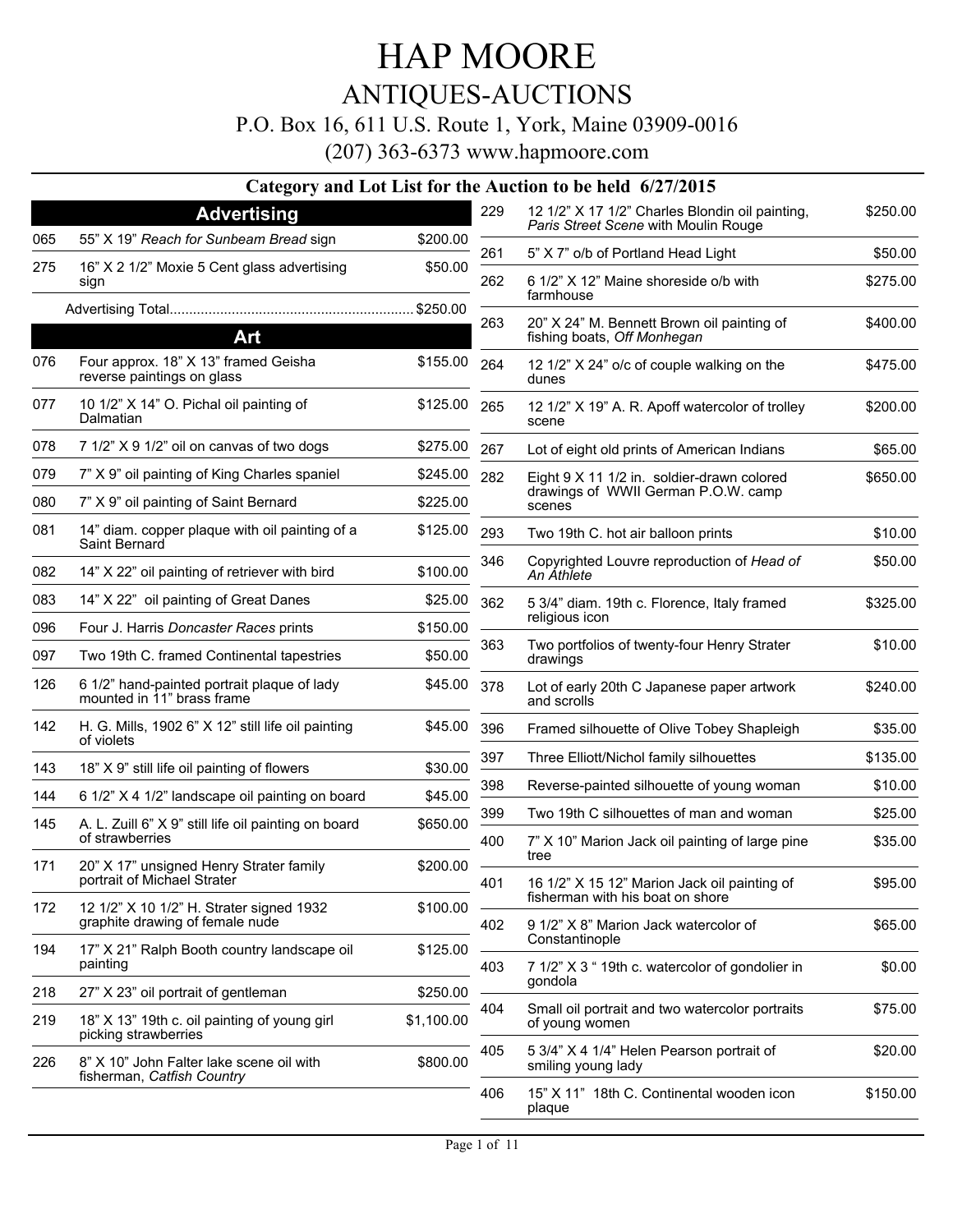### ANTIQUES-AUCTIONS

### P.O. Box 16, 611 U.S. Route 1, York, Maine 03909-0016

|     |                                                                             |            |            | Category and Lot List for the Auction to be held 6/27/2015                       |                     |
|-----|-----------------------------------------------------------------------------|------------|------------|----------------------------------------------------------------------------------|---------------------|
|     | <b>Advertising</b>                                                          |            | 229        | 12 1/2" X 17 1/2" Charles Blondin oil painting,                                  | \$250.00            |
| 065 | 55" X 19" Reach for Sunbeam Bread sign                                      | \$200.00   |            | Paris Street Scene with Moulin Rouge                                             |                     |
| 275 | 16" X 2 1/2" Moxie 5 Cent glass advertising<br>sign                         | \$50.00    | 261<br>262 | 5" X 7" o/b of Portland Head Light<br>6 1/2" X 12" Maine shoreside o/b with      | \$50.00<br>\$275.00 |
|     |                                                                             |            |            | farmhouse                                                                        |                     |
|     | Art                                                                         |            | 263        | 20" X 24" M. Bennett Brown oil painting of<br>fishing boats, Off Monhegan        | \$400.00            |
| 076 | Four approx. 18" X 13" framed Geisha<br>reverse paintings on glass          | \$155.00   | 264        | 12 1/2" X 24" o/c of couple walking on the<br>dunes                              | \$475.00            |
| 077 | 10 1/2" X 14" O. Pichal oil painting of<br>Dalmatian                        | \$125.00   | 265        | 12 1/2" X 19" A. R. Apoff watercolor of trolley<br>scene                         | \$200.00            |
| 078 | 7 1/2" X 9 1/2" oil on canvas of two dogs                                   | \$275.00   | 267        | Lot of eight old prints of American Indians                                      | \$65.00             |
| 079 | 7" X 9" oil painting of King Charles spaniel                                | \$245.00   | 282        | Eight 9 X 11 1/2 in. soldier-drawn colored                                       | \$650.00            |
| 080 | 7" X 9" oil painting of Saint Bernard                                       | \$225.00   |            | drawings of WWII German P.O.W. camp<br>scenes                                    |                     |
| 081 | 14" diam. copper plaque with oil painting of a<br>Saint Bernard             | \$125.00   | 293        | Two 19th C. hot air balloon prints                                               | \$10.00             |
| 082 | 14" X 22" oil painting of retriever with bird                               | \$100.00   | 346        | Copyrighted Louvre reproduction of Head of<br>An Athlete                         | \$50.00             |
| 083 | 14" X 22" oil painting of Great Danes                                       | \$25.00    | 362        | 5 3/4" diam. 19th c. Florence, Italy framed                                      | \$325.00            |
| 096 | Four J. Harris Doncaster Races prints                                       | \$150.00   |            | religious icon                                                                   |                     |
| 097 | Two 19th C. framed Continental tapestries                                   | \$50.00    | 363        | Two portfolios of twenty-four Henry Strater<br>drawings                          | \$10.00             |
| 126 | 6 1/2" hand-painted portrait plaque of lady<br>mounted in 11" brass frame   | \$45.00    | 378        | Lot of early 20th C Japanese paper artwork<br>and scrolls                        | \$240.00            |
| 142 | H. G. Mills, 1902 6" X 12" still life oil painting<br>of violets            | \$45.00    | 396        | Framed silhouette of Olive Tobey Shapleigh                                       | \$35.00             |
| 143 | 18" X 9" still life oil painting of flowers                                 | \$30.00    | 397        | Three Elliott/Nichol family silhouettes                                          | \$135.00            |
| 144 | 6 1/2" X 4 1/2" landscape oil painting on board                             | \$45.00    | 398        | Reverse-painted silhouette of young woman                                        | \$10.00             |
| 145 | A. L. Zuill 6" X 9" still life oil painting on board                        | \$650.00   | 399        | Two 19th C silhouettes of man and woman                                          | \$25.00             |
|     | of strawberries                                                             |            | 400        | 7" X 10" Marion Jack oil painting of large pine<br>tree                          | \$35.00             |
| 171 | 20" X 17" unsigned Henry Strater family<br>portrait of Michael Strater      | \$200.00   | 401        | 16 1/2" X 15 12" Marion Jack oil painting of<br>fisherman with his boat on shore | \$95.00             |
| 172 | 12 1/2" X 10 1/2" H. Strater signed 1932<br>graphite drawing of female nude | \$100.00   | 402        | 9 1/2" X 8" Marion Jack watercolor of                                            | \$65.00             |
| 194 | 17" X 21" Ralph Booth country landscape oil<br>painting                     | \$125.00   | 403        | Constantinople<br>7 1/2" X 3 " 19th c. watercolor of gondolier in                | \$0.00              |
| 218 | 27" X 23" oil portrait of gentleman                                         | \$250.00   |            | gondola                                                                          |                     |
| 219 | 18" X 13" 19th c. oil painting of young girl<br>picking strawberries        | \$1,100.00 | 404        | Small oil portrait and two watercolor portraits<br>of young women                | \$75.00             |
| 226 | 8" X 10" John Falter lake scene oil with<br>fisherman, Catfish Country      | \$800.00   | 405        | 5 3/4" X 4 1/4" Helen Pearson portrait of<br>smiling young lady                  | \$20.00             |
|     |                                                                             |            | 406        | 15" X 11" 18th C. Continental wooden icon<br>plaque                              | \$150.00            |
|     |                                                                             |            |            |                                                                                  |                     |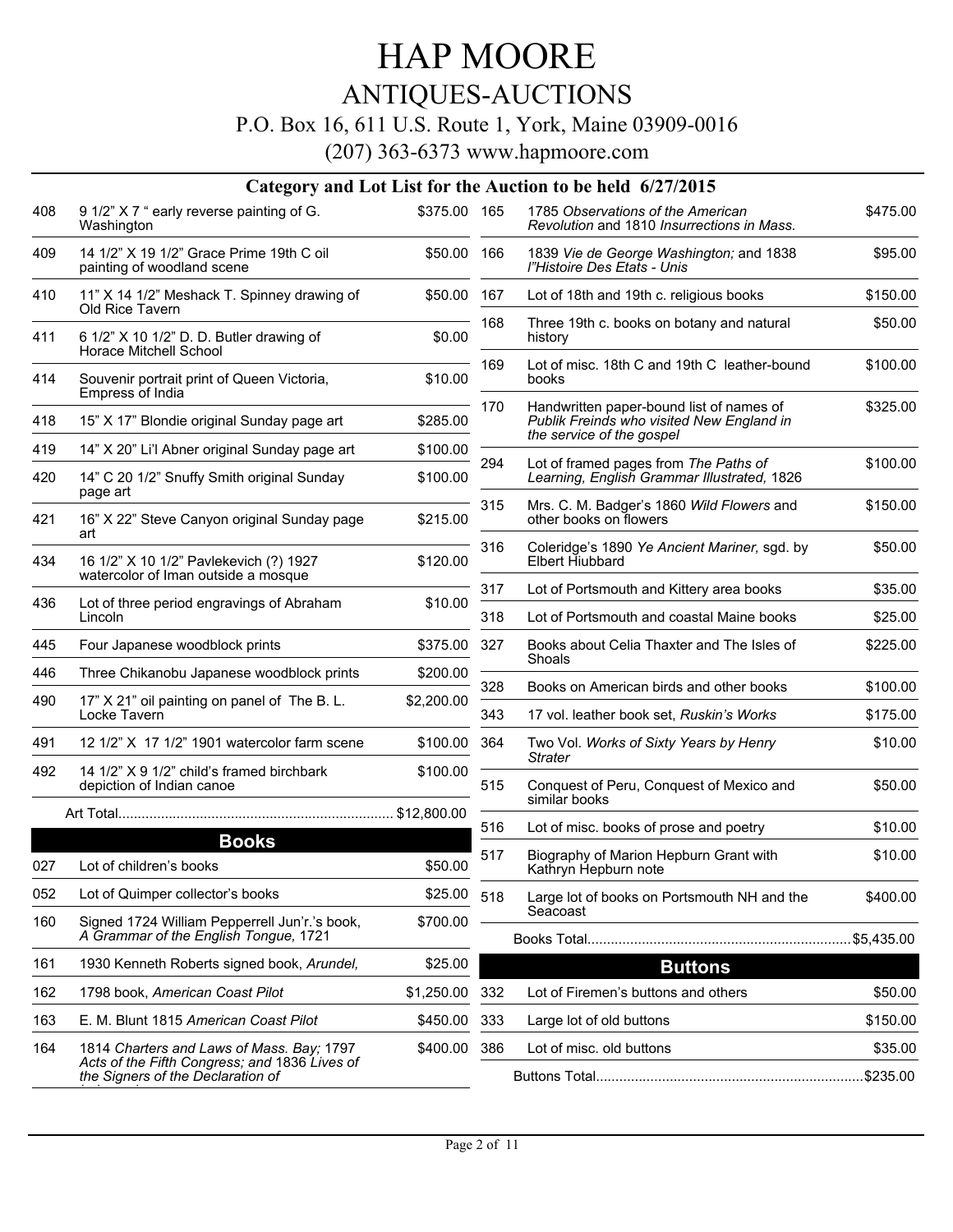### ANTIQUES-AUCTIONS

### P.O. Box 16, 611 U.S. Route 1, York, Maine 03909-0016

|     |                                                                                        |              |     | Category and Lot List for the Auction to be held 6/27/2015                            |          |
|-----|----------------------------------------------------------------------------------------|--------------|-----|---------------------------------------------------------------------------------------|----------|
| 408 | 9 1/2" X 7 " early reverse painting of G.<br>Washington                                | \$375.00 165 |     | 1785 Observations of the American<br>Revolution and 1810 Insurrections in Mass.       | \$475.00 |
| 409 | 14 1/2" X 19 1/2" Grace Prime 19th C oil<br>painting of woodland scene                 | \$50.00 166  |     | 1839 Vie de George Washington; and 1838<br>l"Histoire Des Etats - Unis                | \$95.00  |
| 410 | 11" X 14 1/2" Meshack T. Spinney drawing of<br>Old Rice Tavern                         | \$50.00 167  |     | Lot of 18th and 19th c. religious books                                               | \$150.00 |
| 411 | 6 1/2" X 10 1/2" D. D. Butler drawing of<br>Horace Mitchell School                     | \$0.00       | 168 | Three 19th c. books on botany and natural<br>history                                  | \$50.00  |
| 414 | Souvenir portrait print of Queen Victoria,<br>Empress of India                         | \$10.00      | 169 | Lot of misc. 18th C and 19th C leather-bound<br>books                                 | \$100.00 |
| 418 | 15" X 17" Blondie original Sunday page art                                             | \$285.00     | 170 | Handwritten paper-bound list of names of<br>Publik Freinds who visited New England in | \$325.00 |
| 419 | 14" X 20" Li'l Abner original Sunday page art                                          | \$100.00     |     | the service of the gospel                                                             |          |
| 420 | 14" C 20 1/2" Snuffy Smith original Sunday<br>page art                                 | \$100.00     | 294 | Lot of framed pages from The Paths of<br>Learning, English Grammar Illustrated, 1826  | \$100.00 |
| 421 | 16" X 22" Steve Canyon original Sunday page<br>art                                     | \$215.00     | 315 | Mrs. C. M. Badger's 1860 Wild Flowers and<br>other books on flowers                   | \$150.00 |
| 434 | 16 1/2" X 10 1/2" Pavlekevich (?) 1927<br>watercolor of Iman outside a mosque          | \$120.00     | 316 | Coleridge's 1890 Ye Ancient Mariner, sgd. by<br>Elbert Hiubbard                       | \$50.00  |
|     |                                                                                        |              | 317 | Lot of Portsmouth and Kittery area books                                              | \$35.00  |
| 436 | Lot of three period engravings of Abraham<br>Lincoln                                   | \$10.00      | 318 | Lot of Portsmouth and coastal Maine books                                             | \$25.00  |
| 445 | Four Japanese woodblock prints                                                         | \$375.00     | 327 | Books about Celia Thaxter and The Isles of<br>Shoals                                  | \$225.00 |
| 446 | Three Chikanobu Japanese woodblock prints                                              | \$200.00     | 328 | Books on American birds and other books                                               | \$100.00 |
| 490 | 17" X 21" oil painting on panel of The B. L.<br>Locke Tavern                           | \$2,200.00   | 343 | 17 vol. leather book set, Ruskin's Works                                              | \$175.00 |
| 491 | 12 1/2" X 17 1/2" 1901 watercolor farm scene                                           | \$100.00     | 364 | Two Vol. Works of Sixty Years by Henry<br><b>Strater</b>                              | \$10.00  |
| 492 | 14 1/2" X 9 1/2" child's framed birchbark<br>depiction of Indian canoe                 | \$100.00     | 515 | Conquest of Peru, Conquest of Mexico and<br>similar books                             | \$50.00  |
|     |                                                                                        |              | 516 | Lot of misc. books of prose and poetry                                                | \$10.00  |
|     | <b>Books</b>                                                                           |              |     |                                                                                       |          |
| 027 | Lot of children's books                                                                | \$50.00      | 517 | Biography of Marion Hepburn Grant with<br>Kathryn Hepburn note                        | \$10.00  |
| 052 | Lot of Quimper collector's books                                                       | \$25.00      | 518 | Large lot of books on Portsmouth NH and the                                           | \$400.00 |
| 160 | Signed 1724 William Pepperrell Jun'r.'s book,<br>A Grammar of the English Tongue, 1721 | \$700.00     |     | Seacoast                                                                              |          |
| 161 | 1930 Kenneth Roberts signed book, Arundel,                                             | \$25.00      |     | <b>Buttons</b>                                                                        |          |
| 162 | 1798 book, American Coast Pilot                                                        | \$1,250.00   | 332 | Lot of Firemen's buttons and others                                                   | \$50.00  |
| 163 | E. M. Blunt 1815 American Coast Pilot                                                  | \$450.00     | 333 | Large lot of old buttons                                                              | \$150.00 |
| 164 | 1814 Charters and Laws of Mass. Bay; 1797                                              | \$400.00     | 386 | Lot of misc. old buttons                                                              | \$35.00  |
|     | Acts of the Fifth Congress; and 1836 Lives of<br>the Signers of the Declaration of     |              |     |                                                                                       |          |
|     |                                                                                        |              |     |                                                                                       |          |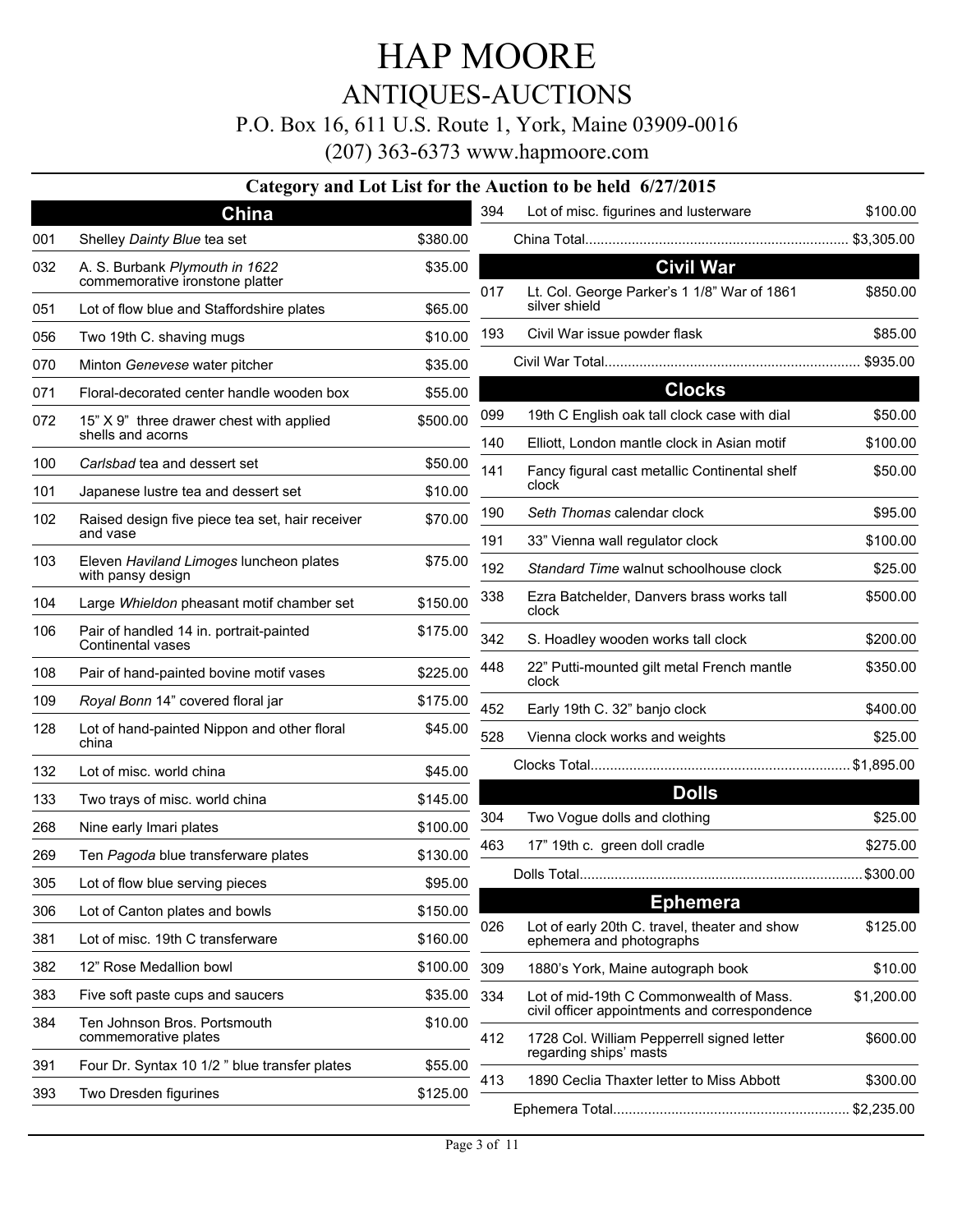ANTIQUES-AUCTIONS

#### P.O. Box 16, 611 U.S. Route 1, York, Maine 03909-0016

(207) 363-6373 www.hapmoore.com

#### **Category and Lot List for the Auction to be held 6/27/2015**

|     | China                                                             |          | 394        | Lot of misc. figurines and lusterware                                                       | \$100.00            |
|-----|-------------------------------------------------------------------|----------|------------|---------------------------------------------------------------------------------------------|---------------------|
| 001 | Shelley Dainty Blue tea set                                       | \$380.00 |            |                                                                                             |                     |
| 032 | A. S. Burbank Plymouth in 1622<br>commemorative ironstone platter | \$35.00  | 017        | <b>Civil War</b><br>Lt. Col. George Parker's 1 1/8" War of 1861                             | \$850.00            |
| 051 | Lot of flow blue and Staffordshire plates                         | \$65.00  |            | silver shield                                                                               |                     |
| 056 | Two 19th C. shaving mugs                                          | \$10.00  | 193        | Civil War issue powder flask                                                                | \$85.00             |
| 070 | Minton Genevese water pitcher                                     | \$35.00  |            |                                                                                             |                     |
| 071 | Floral-decorated center handle wooden box                         | \$55.00  |            | <b>Clocks</b>                                                                               |                     |
| 072 | 15" X 9" three drawer chest with applied<br>shells and acorns     | \$500.00 | 099<br>140 | 19th C English oak tall clock case with dial<br>Elliott, London mantle clock in Asian motif | \$50.00<br>\$100.00 |
| 100 | Carlsbad tea and dessert set                                      | \$50.00  | 141        | Fancy figural cast metallic Continental shelf                                               | \$50.00             |
| 101 | Japanese lustre tea and dessert set                               | \$10.00  |            | clock                                                                                       |                     |
| 102 | Raised design five piece tea set, hair receiver                   | \$70.00  | 190        | Seth Thomas calendar clock                                                                  | \$95.00             |
|     | and vase                                                          |          | 191        | 33" Vienna wall regulator clock                                                             | \$100.00            |
| 103 | Eleven Haviland Limoges luncheon plates<br>with pansy design      | \$75.00  | 192        | Standard Time walnut schoolhouse clock                                                      | \$25.00             |
| 104 | Large Whieldon pheasant motif chamber set                         | \$150.00 | 338        | Ezra Batchelder, Danvers brass works tall<br>clock                                          | \$500.00            |
| 106 | Pair of handled 14 in. portrait-painted<br>Continental vases      | \$175.00 | 342        | S. Hoadley wooden works tall clock                                                          | \$200.00            |
| 108 | Pair of hand-painted bovine motif vases                           | \$225.00 | 448        | 22" Putti-mounted gilt metal French mantle<br>clock                                         | \$350.00            |
| 109 | Royal Bonn 14" covered floral jar                                 | \$175.00 | 452        | Early 19th C. 32" banjo clock                                                               | \$400.00            |
| 128 | Lot of hand-painted Nippon and other floral<br>china              | \$45.00  | 528        | Vienna clock works and weights                                                              | \$25.00             |
| 132 | Lot of misc. world china                                          | \$45.00  |            |                                                                                             |                     |
| 133 | Two trays of misc. world china                                    | \$145.00 |            | <b>Dolls</b>                                                                                |                     |
| 268 | Nine early Imari plates                                           | \$100.00 | 304        | Two Vogue dolls and clothing                                                                | \$25.00             |
| 269 | Ten Pagoda blue transferware plates                               | \$130.00 | 463        | 17" 19th c. green doll cradle                                                               | \$275.00            |
| 305 | Lot of flow blue serving pieces                                   | \$95.00  |            |                                                                                             |                     |
| 306 | Lot of Canton plates and bowls                                    | \$150.00 |            | <b>Ephemera</b>                                                                             |                     |
| 381 | Lot of misc. 19th C transferware                                  | \$160.00 | 026        | Lot of early 20th C. travel, theater and show<br>ephemera and photographs                   | \$125.00            |
| 382 | 12" Rose Medallion bowl                                           | \$100.00 | 309        | 1880's York, Maine autograph book                                                           | \$10.00             |
| 383 | Five soft paste cups and saucers                                  | \$35.00  | 334        | Lot of mid-19th C Commonwealth of Mass.                                                     | \$1,200.00          |
| 384 | Ten Johnson Bros. Portsmouth<br>commemorative plates              | \$10.00  | 412        | civil officer appointments and correspondence<br>1728 Col. William Pepperrell signed letter | \$600.00            |
| 391 | Four Dr. Syntax 10 1/2 " blue transfer plates                     | \$55.00  |            | regarding ships' masts                                                                      |                     |
| 393 | Two Dresden figurines                                             | \$125.00 | 413        | 1890 Ceclia Thaxter letter to Miss Abbott                                                   | \$300.00            |
|     |                                                                   |          |            |                                                                                             |                     |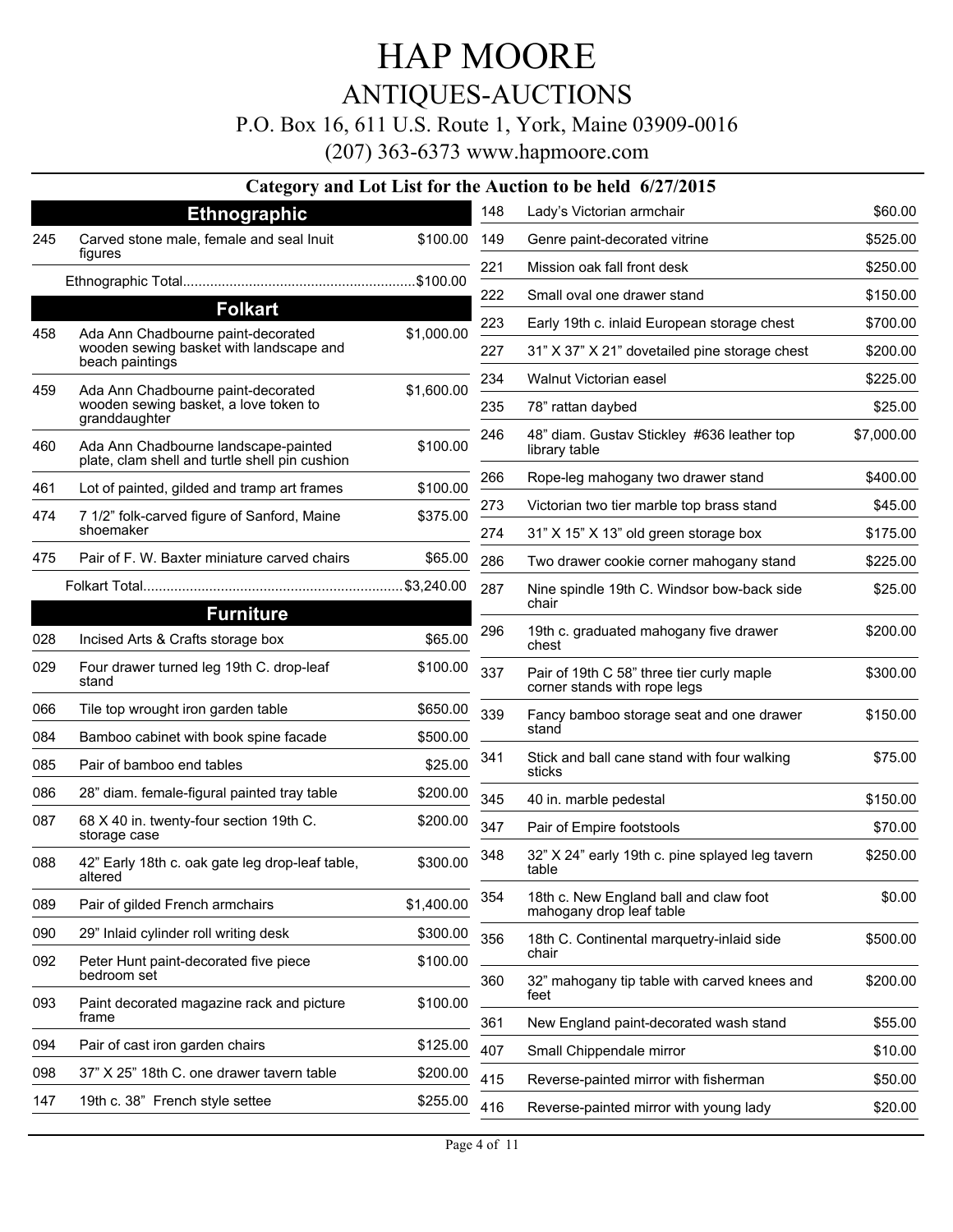### ANTIQUES-AUCTIONS

#### P.O. Box 16, 611 U.S. Route 1, York, Maine 03909-0016

(207) 363-6373 www.hapmoore.com

#### **Category and Lot List for the Auction to be held 6/27/2015**

|     | Category and Lot List for the F                                                                  |            |
|-----|--------------------------------------------------------------------------------------------------|------------|
|     | <b>Ethnographic</b>                                                                              |            |
| 245 | Carved stone male, female and seal Inuit<br>figures                                              | \$100.00   |
|     |                                                                                                  |            |
|     | <b>Folkart</b>                                                                                   |            |
| 458 | Ada Ann Chadbourne paint-decorated<br>wooden sewing basket with landscape and<br>beach paintings | \$1,000.00 |
| 459 | Ada Ann Chadbourne paint-decorated<br>wooden sewing basket, a love token to<br>granddaughter     | \$1,600.00 |
| 460 | Ada Ann Chadbourne landscape-painted<br>plate, clam shell and turtle shell pin cushion           | \$100.00   |
| 461 | Lot of painted, gilded and tramp art frames                                                      | \$100.00   |
| 474 | 7 1/2" folk-carved figure of Sanford, Maine<br>shoemaker                                         | \$375.00   |
| 475 | Pair of F. W. Baxter miniature carved chairs                                                     | \$65.00    |
|     |                                                                                                  |            |
|     | <b>Furniture</b>                                                                                 |            |
| 028 | Incised Arts & Crafts storage box                                                                | \$65.00    |
| 029 | Four drawer turned leg 19th C. drop-leaf<br>stand                                                | \$100.00   |
| 066 | Tile top wrought iron garden table                                                               | \$650.00   |
| 084 | Bamboo cabinet with book spine facade                                                            | \$500.00   |
| 085 | Pair of bamboo end tables                                                                        | \$25.00    |
| 086 | 28" diam. female-figural painted tray table                                                      | \$200.00   |
| 087 | 68 X 40 in. twenty-four section 19th C.<br>storage case                                          | \$200.00   |
| 088 | 42" Early 18th c. oak gate leg drop-leaf table,<br>altered                                       | \$300.00   |
| 089 | Pair of gilded French armchairs                                                                  | \$1,400.00 |
| 090 | 29" Inlaid cylinder roll writing desk                                                            | \$300.00   |
| 092 | Peter Hunt paint-decorated five piece<br>bedroom set                                             | \$100.00   |
| 093 | Paint decorated magazine rack and picture<br>frame                                               | \$100.00   |
| 094 | Pair of cast iron garden chairs                                                                  | \$125.00   |
| 098 | 37" X 25" 18th C. one drawer tavern table                                                        | \$200.00   |
| 147 | 19th c. 38" French style settee                                                                  | \$255.00   |
|     |                                                                                                  |            |

| 148 | Lady's Victorian armchair                                                 | \$60.00    |
|-----|---------------------------------------------------------------------------|------------|
| 149 | Genre paint-decorated vitrine                                             | \$525.00   |
| 221 | Mission oak fall front desk                                               | \$250.00   |
| 222 | Small oval one drawer stand                                               | \$150.00   |
| 223 | Early 19th c. inlaid European storage chest                               | \$700.00   |
| 227 | 31" X 37" X 21" dovetailed pine storage chest                             | \$200.00   |
| 234 | Walnut Victorian easel                                                    | \$225.00   |
| 235 | 78" rattan daybed                                                         | \$25.00    |
| 246 | 48" diam. Gustav Stickley #636 leather top<br>library table               | \$7,000.00 |
| 266 | Rope-leg mahogany two drawer stand                                        | \$400.00   |
| 273 | Victorian two tier marble top brass stand                                 | \$45.00    |
| 274 | 31" X 15" X 13" old green storage box                                     | \$175.00   |
| 286 | Two drawer cookie corner mahogany stand                                   | \$225.00   |
| 287 | Nine spindle 19th C. Windsor bow-back side<br>chair                       | \$25.00    |
| 296 | 19th c. graduated mahogany five drawer<br>chest                           | \$200.00   |
| 337 | Pair of 19th C 58" three tier curly maple<br>corner stands with rope legs | \$300.00   |
| 339 | Fancy bamboo storage seat and one drawer<br>stand                         | \$150.00   |
| 341 | Stick and ball cane stand with four walking<br>sticks                     | \$75.00    |
| 345 | 40 in. marble pedestal                                                    | \$150.00   |
| 347 | Pair of Empire footstools                                                 | \$70.00    |
| 348 | 32" X 24" early 19th c. pine splayed leg tavern<br>table                  | \$250.00   |
| 354 | 18th c. New England ball and claw foot<br>mahogany drop leaf table        | \$0.00     |
| 356 | 18th C. Continental marquetry-inlaid side<br>chair                        | \$500.00   |
| 360 | 32" mahogany tip table with carved knees and<br>feet                      | \$200.00   |
| 361 | New England paint-decorated wash stand                                    | \$55.00    |
| 407 | Small Chippendale mirror                                                  | \$10.00    |
| 415 | Reverse-painted mirror with fisherman                                     | \$50.00    |
| 416 | Reverse-painted mirror with young lady                                    | \$20.00    |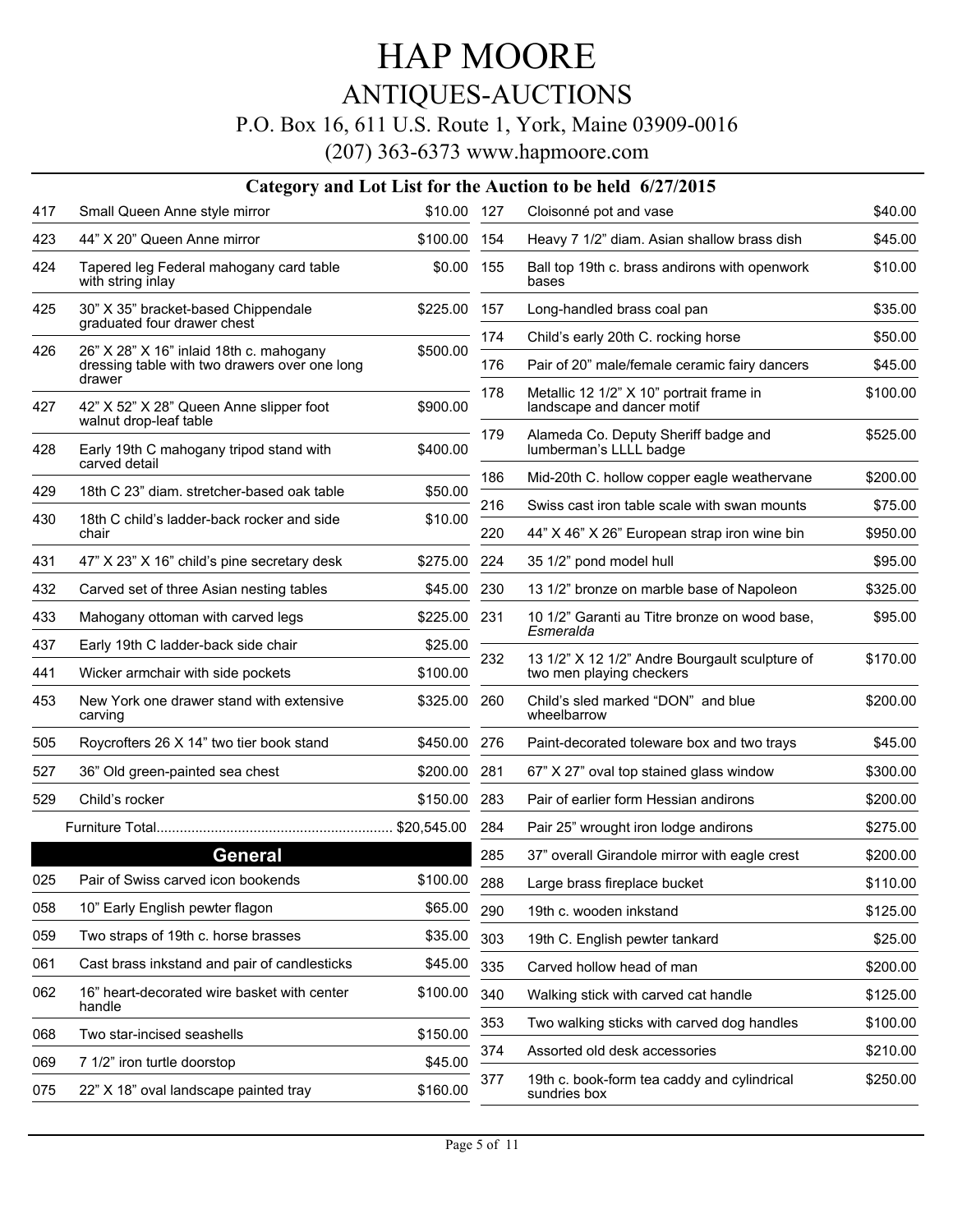### ANTIQUES-AUCTIONS

#### P.O. Box 16, 611 U.S. Route 1, York, Maine 03909-0016

|     |                                                                                                    |              |     | Category and Lot List for the Auction to be held 6/27/2015                 |          |
|-----|----------------------------------------------------------------------------------------------------|--------------|-----|----------------------------------------------------------------------------|----------|
| 417 | Small Queen Anne style mirror                                                                      | \$10.00 127  |     | Cloisonné pot and vase                                                     | \$40.00  |
| 423 | 44" X 20" Queen Anne mirror                                                                        | \$100.00     | 154 | Heavy 7 1/2" diam. Asian shallow brass dish                                | \$45.00  |
| 424 | Tapered leg Federal mahogany card table<br>with string inlay                                       | \$0.00       | 155 | Ball top 19th c. brass andirons with openwork<br>bases                     | \$10.00  |
| 425 | 30" X 35" bracket-based Chippendale<br>graduated four drawer chest                                 | \$225.00     | 157 | Long-handled brass coal pan                                                | \$35.00  |
|     |                                                                                                    |              | 174 | Child's early 20th C. rocking horse                                        | \$50.00  |
| 426 | 26" X 28" X 16" inlaid 18th c. mahogany<br>dressing table with two drawers over one long<br>drawer | \$500.00     | 176 | Pair of 20" male/female ceramic fairy dancers                              | \$45.00  |
| 427 | 42" X 52" X 28" Queen Anne slipper foot<br>walnut drop-leaf table                                  | \$900.00     | 178 | Metallic 12 1/2" X 10" portrait frame in<br>landscape and dancer motif     | \$100.00 |
| 428 | Early 19th C mahogany tripod stand with<br>carved detail                                           | \$400.00     | 179 | Alameda Co. Deputy Sheriff badge and<br>lumberman's LLLL badge             | \$525.00 |
| 429 | 18th C 23" diam. stretcher-based oak table                                                         |              | 186 | Mid-20th C. hollow copper eagle weathervane                                | \$200.00 |
|     |                                                                                                    | \$50.00      | 216 | Swiss cast iron table scale with swan mounts                               | \$75.00  |
| 430 | 18th C child's ladder-back rocker and side<br>chair                                                | \$10.00      | 220 | 44" X 46" X 26" European strap iron wine bin                               | \$950.00 |
| 431 | 47" X 23" X 16" child's pine secretary desk                                                        | \$275.00     | 224 | 35 1/2" pond model hull                                                    | \$95.00  |
| 432 | Carved set of three Asian nesting tables                                                           | \$45.00      | 230 | 13 1/2" bronze on marble base of Napoleon                                  | \$325.00 |
| 433 | Mahogany ottoman with carved legs                                                                  | \$225.00 231 |     | 10 1/2" Garanti au Titre bronze on wood base,<br>Esmeralda                 | \$95.00  |
| 437 | Early 19th C ladder-back side chair                                                                | \$25.00      |     |                                                                            |          |
| 441 | Wicker armchair with side pockets                                                                  | \$100.00     | 232 | 13 1/2" X 12 1/2" Andre Bourgault sculpture of<br>two men playing checkers | \$170.00 |
| 453 | New York one drawer stand with extensive<br>carving                                                | \$325.00     | 260 | Child's sled marked "DON" and blue<br>wheelbarrow                          | \$200.00 |
| 505 | Roycrofters 26 X 14" two tier book stand                                                           | \$450.00     | 276 | Paint-decorated toleware box and two trays                                 | \$45.00  |
| 527 | 36" Old green-painted sea chest                                                                    | \$200.00     | 281 | 67" X 27" oval top stained glass window                                    | \$300.00 |
| 529 | Child's rocker                                                                                     | \$150.00     | 283 | Pair of earlier form Hessian andirons                                      | \$200.00 |
|     |                                                                                                    |              | 284 | Pair 25" wrought iron lodge andirons                                       | \$275.00 |
|     | <b>General</b>                                                                                     |              | 285 | 37" overall Girandole mirror with eagle crest                              | \$200.00 |
| 025 | Pair of Swiss carved icon bookends                                                                 | \$100.00     | 288 | Large brass fireplace bucket                                               | \$110.00 |
| 058 | 10" Early English pewter flagon                                                                    | \$65.00      | 290 | 19th c. wooden inkstand                                                    | \$125.00 |
| 059 | Two straps of 19th c. horse brasses                                                                | \$35.00      | 303 | 19th C. English pewter tankard                                             | \$25.00  |
| 061 | Cast brass inkstand and pair of candlesticks                                                       | \$45.00      | 335 | Carved hollow head of man                                                  | \$200.00 |
| 062 | 16" heart-decorated wire basket with center<br>handle                                              | \$100.00     | 340 | Walking stick with carved cat handle                                       | \$125.00 |
| 068 | Two star-incised seashells                                                                         | \$150.00     | 353 | Two walking sticks with carved dog handles                                 | \$100.00 |
| 069 | 7 1/2" iron turtle doorstop                                                                        | \$45.00      | 374 | Assorted old desk accessories                                              | \$210.00 |
| 075 | 22" X 18" oval landscape painted tray                                                              | \$160.00     | 377 | 19th c. book-form tea caddy and cylindrical<br>sundries box                | \$250.00 |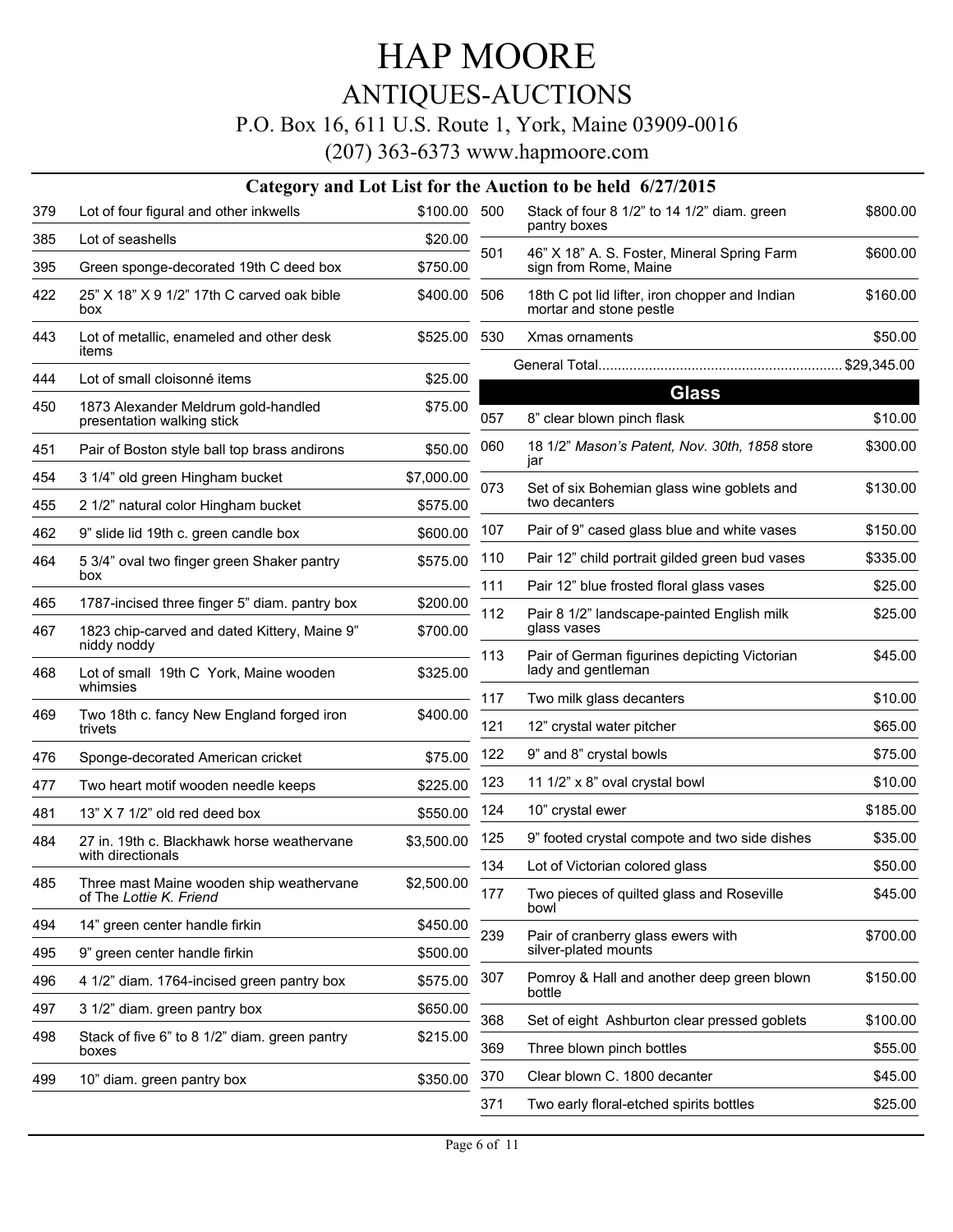### ANTIQUES-AUCTIONS

#### P.O. Box 16, 611 U.S. Route 1, York, Maine 03909-0016

|     |                                                                     |              |     | Category and Lot List for the Auction to be held 6/27/2015                |          |
|-----|---------------------------------------------------------------------|--------------|-----|---------------------------------------------------------------------------|----------|
| 379 | Lot of four figural and other inkwells                              | \$100.00 500 |     | Stack of four 8 1/2" to 14 1/2" diam. green                               | \$800.00 |
| 385 | Lot of seashells                                                    | \$20.00      |     | pantry boxes                                                              |          |
| 395 | Green sponge-decorated 19th C deed box                              | \$750.00     | 501 | 46" X 18" A. S. Foster, Mineral Spring Farm<br>sign from Rome, Maine      | \$600.00 |
| 422 | 25" X 18" X 9 1/2" 17th C carved oak bible<br>box                   | \$400.00     | 506 | 18th C pot lid lifter, iron chopper and Indian<br>mortar and stone pestle | \$160.00 |
| 443 | Lot of metallic, enameled and other desk<br>items                   | \$525.00 530 |     | Xmas ornaments                                                            | \$50.00  |
| 444 | Lot of small cloisonné items                                        | \$25.00      |     |                                                                           |          |
| 450 | 1873 Alexander Meldrum gold-handled<br>presentation walking stick   | \$75.00      | 057 | <b>Glass</b><br>8" clear blown pinch flask                                | \$10.00  |
| 451 | Pair of Boston style ball top brass andirons                        | \$50.00      | 060 | 18 1/2" Mason's Patent, Nov. 30th, 1858 store<br>jar                      | \$300.00 |
| 454 | 3 1/4" old green Hingham bucket                                     | \$7,000.00   | 073 | Set of six Bohemian glass wine goblets and                                | \$130.00 |
| 455 | 2 1/2" natural color Hingham bucket                                 | \$575.00     |     | two decanters                                                             |          |
| 462 | 9" slide lid 19th c. green candle box                               | \$600.00     | 107 | Pair of 9" cased glass blue and white vases                               | \$150.00 |
| 464 | 5 3/4" oval two finger green Shaker pantry                          | \$575.00     | 110 | Pair 12" child portrait gilded green bud vases                            | \$335.00 |
|     | box                                                                 |              | 111 | Pair 12" blue frosted floral glass vases                                  | \$25.00  |
| 465 | 1787-incised three finger 5" diam. pantry box                       | \$200.00     | 112 | Pair 8 1/2" landscape-painted English milk                                | \$25.00  |
| 467 | 1823 chip-carved and dated Kittery, Maine 9"<br>niddy noddy         | \$700.00     |     | glass vases                                                               |          |
| 468 | Lot of small 19th C York, Maine wooden                              | \$325.00     | 113 | Pair of German figurines depicting Victorian<br>lady and gentleman        | \$45.00  |
|     | whimsies                                                            |              | 117 | Two milk glass decanters                                                  | \$10.00  |
| 469 | Two 18th c. fancy New England forged iron<br>trivets                | \$400.00     | 121 | 12" crystal water pitcher                                                 | \$65.00  |
| 476 | Sponge-decorated American cricket                                   | \$75.00      | 122 | 9" and 8" crystal bowls                                                   | \$75.00  |
| 477 | Two heart motif wooden needle keeps                                 | \$225.00     | 123 | 11 1/2" x 8" oval crystal bowl                                            | \$10.00  |
| 481 | 13" X 7 1/2" old red deed box                                       | \$550.00     | 124 | 10" crystal ewer                                                          | \$185.00 |
| 484 | 27 in, 19th c. Blackhawk horse weathervane                          | \$3,500.00   | 125 | 9" footed crystal compote and two side dishes                             | \$35.00  |
|     | with directionals                                                   |              | 134 | Lot of Victorian colored glass                                            | \$50.00  |
| 485 | Three mast Maine wooden ship weathervane<br>of The Lottie K. Friend | \$2,500.00   | 177 | Two pieces of quilted glass and Roseville<br>bowl                         | \$45.00  |
| 494 | 14" green center handle firkin                                      | \$450.00     | 239 | Pair of cranberry glass ewers with                                        | \$700.00 |
| 495 | 9" green center handle firkin                                       | \$500.00     |     | silver-plated mounts                                                      |          |
| 496 | 4 1/2" diam. 1764-incised green pantry box                          | \$575.00     | 307 | Pomroy & Hall and another deep green blown<br>bottle                      | \$150.00 |
| 497 | 3 1/2" diam. green pantry box                                       | \$650.00     | 368 | Set of eight Ashburton clear pressed goblets                              | \$100.00 |
| 498 | Stack of five 6" to 8 1/2" diam. green pantry                       | \$215.00     | 369 | Three blown pinch bottles                                                 | \$55.00  |
|     | boxes                                                               |              | 370 | Clear blown C. 1800 decanter                                              | \$45.00  |
| 499 | 10" diam. green pantry box                                          | \$350.00     |     |                                                                           | \$25.00  |
|     |                                                                     |              | 371 | Two early floral-etched spirits bottles                                   |          |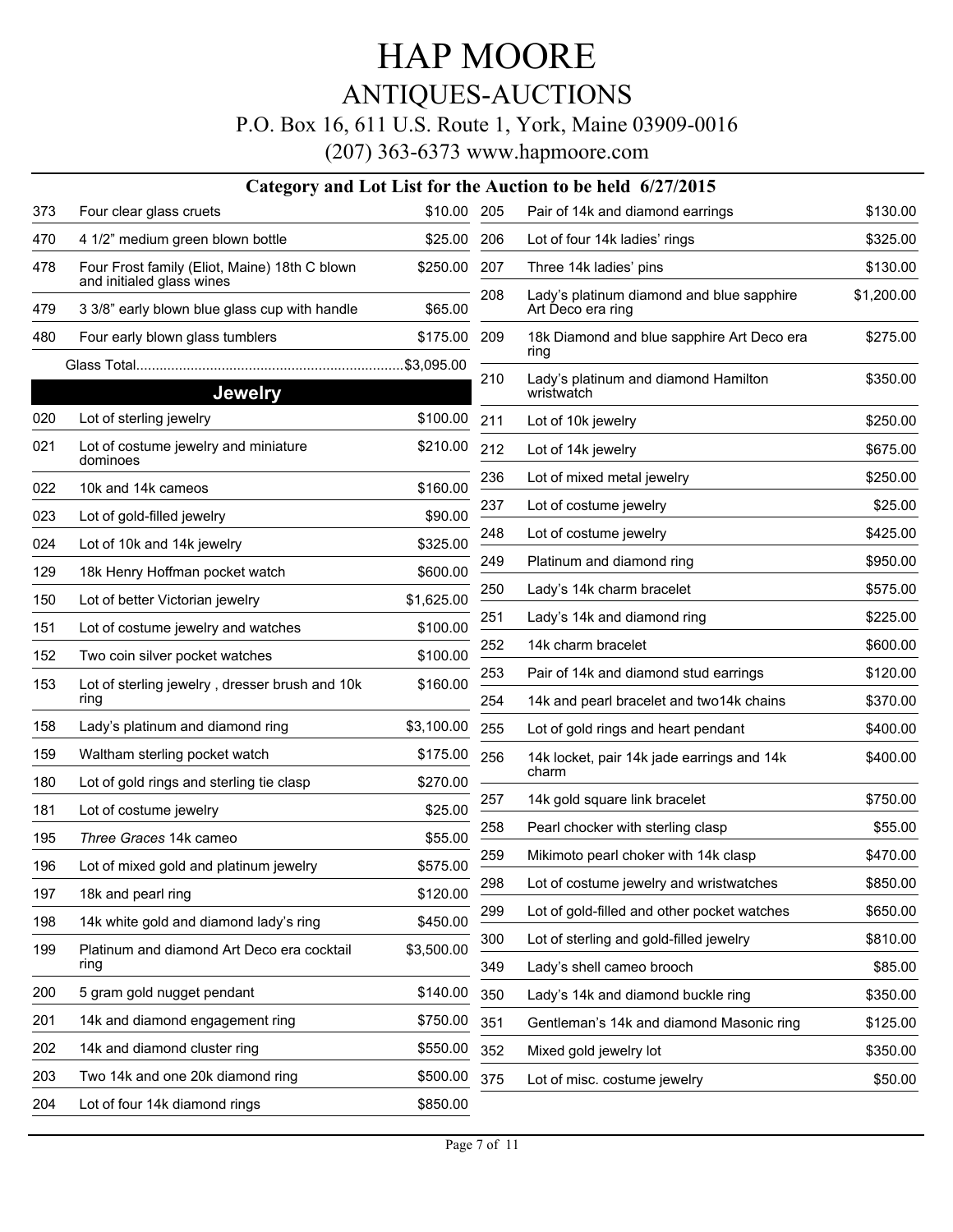### ANTIQUES-AUCTIONS

### P.O. Box 16, 611 U.S. Route 1, York, Maine 03909-0016

|     |                                                                            |             |     | Category and Lot List for the Auction to be held 6/27/2015     |            |
|-----|----------------------------------------------------------------------------|-------------|-----|----------------------------------------------------------------|------------|
| 373 | Four clear glass cruets                                                    | \$10.00     | 205 | Pair of 14k and diamond earrings                               | \$130.00   |
| 470 | 4 1/2" medium green blown bottle                                           | \$25.00     | 206 | Lot of four 14k ladies' rings                                  | \$325.00   |
| 478 | Four Frost family (Eliot, Maine) 18th C blown<br>and initialed glass wines | \$250.00    | 207 | Three 14k ladies' pins                                         | \$130.00   |
| 479 | 3 3/8" early blown blue glass cup with handle                              | \$65.00     | 208 | Lady's platinum diamond and blue sapphire<br>Art Deco era ring | \$1,200.00 |
| 480 | Four early blown glass tumblers                                            | \$175.00    | 209 | 18k Diamond and blue sapphire Art Deco era                     | \$275.00   |
|     |                                                                            | .\$3,095.00 |     | ring                                                           |            |
|     | <b>Jewelry</b>                                                             |             | 210 | Lady's platinum and diamond Hamilton<br>wristwatch             | \$350.00   |
| 020 | Lot of sterling jewelry                                                    | \$100.00    | 211 | Lot of 10k jewelry                                             | \$250.00   |
| 021 | Lot of costume jewelry and miniature<br>dominoes                           | \$210.00    | 212 | Lot of 14k jewelry                                             | \$675.00   |
| 022 | 10k and 14k cameos                                                         | \$160.00    | 236 | Lot of mixed metal jewelry                                     | \$250.00   |
| 023 | Lot of gold-filled jewelry                                                 | \$90.00     | 237 | Lot of costume jewelry                                         | \$25.00    |
| 024 | Lot of 10k and 14k jewelry                                                 | \$325.00    | 248 | Lot of costume jewelry                                         | \$425.00   |
| 129 | 18k Henry Hoffman pocket watch                                             | \$600.00    | 249 | Platinum and diamond ring                                      | \$950.00   |
| 150 | Lot of better Victorian jewelry                                            | \$1,625.00  | 250 | Lady's 14k charm bracelet                                      | \$575.00   |
| 151 | Lot of costume jewelry and watches                                         | \$100.00    | 251 | Lady's 14k and diamond ring                                    | \$225.00   |
|     |                                                                            | \$100.00    | 252 | 14k charm bracelet                                             | \$600.00   |
| 152 | Two coin silver pocket watches                                             |             | 253 | Pair of 14k and diamond stud earrings                          | \$120.00   |
| 153 | Lot of sterling jewelry, dresser brush and 10k<br>ring                     | \$160.00    | 254 | 14k and pearl bracelet and two 14k chains                      | \$370.00   |
| 158 | Lady's platinum and diamond ring                                           | \$3,100.00  | 255 | Lot of gold rings and heart pendant                            | \$400.00   |
| 159 | Waltham sterling pocket watch                                              | \$175.00    | 256 | 14k locket, pair 14k jade earrings and 14k                     | \$400.00   |
| 180 | Lot of gold rings and sterling tie clasp                                   | \$270.00    |     | charm                                                          |            |
| 181 | Lot of costume jewelry                                                     | \$25.00     | 257 | 14k gold square link bracelet                                  | \$750.00   |
| 195 | Three Graces 14k cameo                                                     | \$55.00     | 258 | Pearl chocker with sterling clasp                              | \$55.00    |
| 196 | Lot of mixed gold and platinum jewelry                                     | \$575.00    | 259 | Mikimoto pearl choker with 14k clasp                           | \$470.00   |
| 197 | 18k and pearl ring                                                         | \$120.00    | 298 | Lot of costume jewelry and wristwatches                        | \$850.00   |
| 198 | 14k white gold and diamond lady's ring                                     | \$450.00    | 299 | Lot of gold-filled and other pocket watches                    | \$650.00   |
| 199 | Platinum and diamond Art Deco era cocktail                                 | \$3,500.00  | 300 | Lot of sterling and gold-filled jewelry                        | \$810.00   |
|     | ring                                                                       |             | 349 | Lady's shell cameo brooch                                      | \$85.00    |
| 200 | 5 gram gold nugget pendant                                                 | \$140.00    | 350 | Lady's 14k and diamond buckle ring                             | \$350.00   |
| 201 | 14k and diamond engagement ring                                            | \$750.00    | 351 | Gentleman's 14k and diamond Masonic ring                       | \$125.00   |
| 202 | 14k and diamond cluster ring                                               | \$550.00    | 352 | Mixed gold jewelry lot                                         | \$350.00   |
| 203 | Two 14k and one 20k diamond ring                                           | \$500.00    | 375 | Lot of misc. costume jewelry                                   | \$50.00    |
| 204 | Lot of four 14k diamond rings                                              | \$850.00    |     |                                                                |            |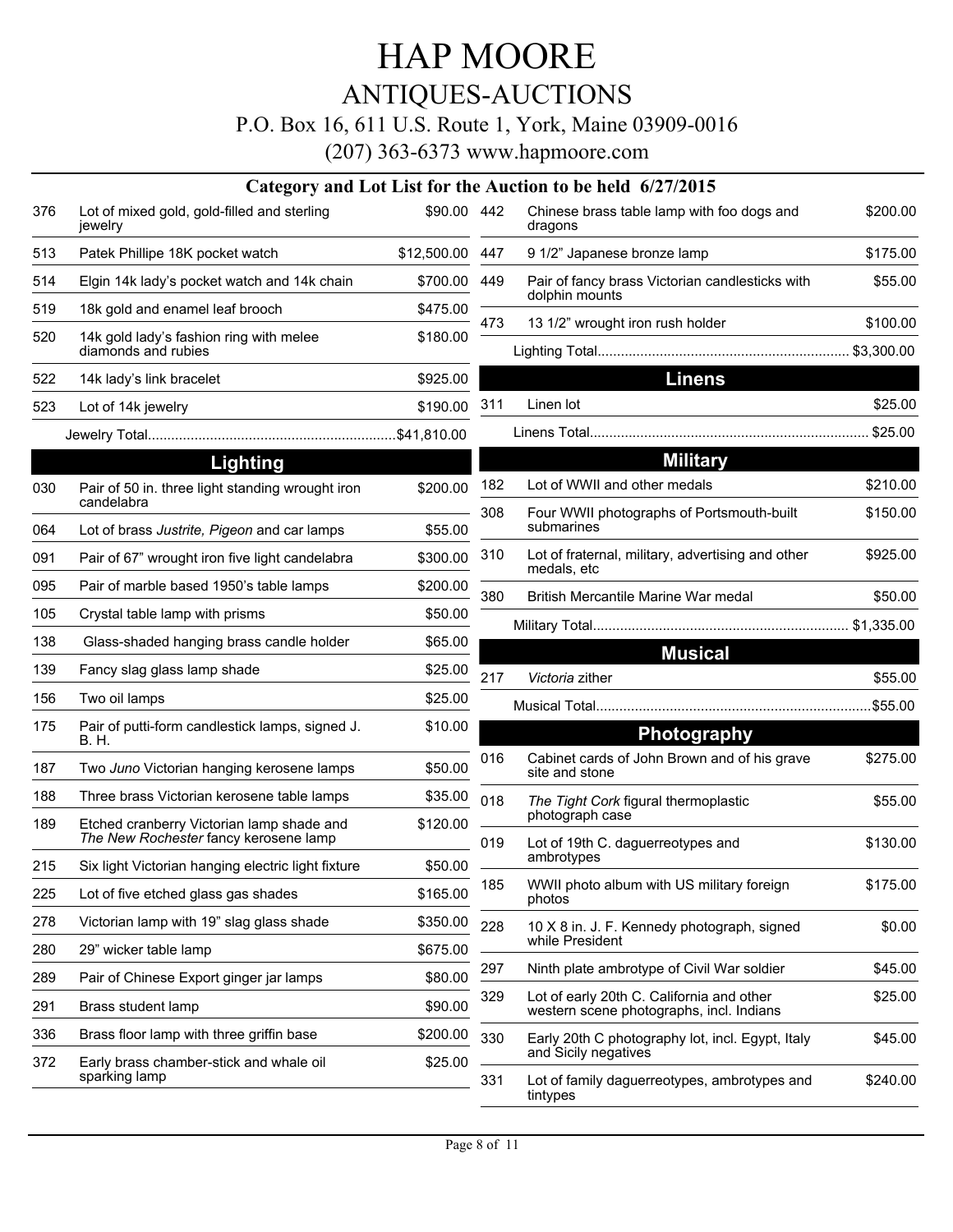### ANTIQUES-AUCTIONS

#### P.O. Box 16, 611 U.S. Route 1, York, Maine 03909-0016

|     |                                                                                    |                 |     | Category and Lot List for the Auction to be held 6/27/2015                            |          |
|-----|------------------------------------------------------------------------------------|-----------------|-----|---------------------------------------------------------------------------------------|----------|
| 376 | Lot of mixed gold, gold-filled and sterling<br>jewelry                             | \$90.00 442     |     | Chinese brass table lamp with foo dogs and<br>dragons                                 | \$200.00 |
| 513 | Patek Phillipe 18K pocket watch                                                    | \$12,500.00 447 |     | 9 1/2" Japanese bronze lamp                                                           | \$175.00 |
| 514 | Elgin 14k lady's pocket watch and 14k chain                                        | \$700.00 449    |     | Pair of fancy brass Victorian candlesticks with<br>dolphin mounts                     | \$55.00  |
| 519 | 18k gold and enamel leaf brooch                                                    | \$475.00        | 473 | 13 1/2" wrought iron rush holder                                                      | \$100.00 |
| 520 | 14k gold lady's fashion ring with melee<br>diamonds and rubies                     | \$180.00        |     |                                                                                       |          |
| 522 | 14k lady's link bracelet                                                           | \$925.00        |     | <b>Linens</b>                                                                         |          |
| 523 | Lot of 14k jewelry                                                                 | \$190.00        | 311 | Linen lot                                                                             | \$25.00  |
|     |                                                                                    |                 |     |                                                                                       |          |
|     | Lighting                                                                           |                 |     | <b>Military</b>                                                                       |          |
| 030 | Pair of 50 in. three light standing wrought iron                                   | \$200.00        | 182 | Lot of WWII and other medals                                                          | \$210.00 |
| 064 | candelabra<br>Lot of brass Justrite, Pigeon and car lamps                          | \$55.00         | 308 | Four WWII photographs of Portsmouth-built<br>submarines                               | \$150.00 |
| 091 | Pair of 67" wrought iron five light candelabra                                     | \$300.00        | 310 | Lot of fraternal, military, advertising and other<br>medals, etc                      | \$925.00 |
| 095 | Pair of marble based 1950's table lamps                                            | \$200.00        | 380 | British Mercantile Marine War medal                                                   | \$50.00  |
| 105 | Crystal table lamp with prisms                                                     | \$50.00         |     |                                                                                       |          |
| 138 | Glass-shaded hanging brass candle holder                                           | \$65.00         |     |                                                                                       |          |
| 139 | Fancy slag glass lamp shade                                                        | \$25.00         | 217 | <b>Musical</b><br>Victoria zither                                                     | \$55.00  |
| 156 | Two oil lamps                                                                      | \$25.00         |     |                                                                                       |          |
| 175 | Pair of putti-form candlestick lamps, signed J.<br>B. H.                           | \$10.00         |     | <b>Photography</b>                                                                    |          |
| 187 | Two Juno Victorian hanging kerosene lamps                                          | \$50.00         | 016 | Cabinet cards of John Brown and of his grave<br>site and stone                        | \$275.00 |
| 188 | Three brass Victorian kerosene table lamps                                         | \$35.00         | 018 | The Tight Cork figural thermoplastic                                                  | \$55.00  |
| 189 | Etched cranberry Victorian lamp shade and<br>The New Rochester fancy kerosene lamp | \$120.00        | 019 | photograph case<br>Lot of 19th C. daguerreotypes and                                  | \$130.00 |
| 215 | Six light Victorian hanging electric light fixture                                 | \$50.00         |     | ambrotypes                                                                            |          |
| 225 | Lot of five etched glass gas shades                                                | \$165.00        | 185 | WWII photo album with US military foreign<br>photos                                   | \$175.00 |
| 278 | Victorian lamp with 19" slag glass shade                                           | \$350.00        | 228 | 10 X 8 in. J. F. Kennedy photograph, signed                                           | \$0.00   |
| 280 | 29" wicker table lamp                                                              | \$675.00        |     | while President                                                                       |          |
| 289 | Pair of Chinese Export ginger jar lamps                                            | \$80.00         | 297 | Ninth plate ambrotype of Civil War soldier                                            | \$45.00  |
| 291 | Brass student lamp                                                                 | \$90.00         | 329 | Lot of early 20th C. California and other<br>western scene photographs, incl. Indians | \$25.00  |
| 336 | Brass floor lamp with three griffin base                                           | \$200.00        | 330 | Early 20th C photography lot, incl. Egypt, Italy<br>and Sicily negatives              | \$45.00  |
| 372 | Early brass chamber-stick and whale oil<br>sparking lamp                           | \$25.00         | 331 | Lot of family daguerreotypes, ambrotypes and<br>tintypes                              | \$240.00 |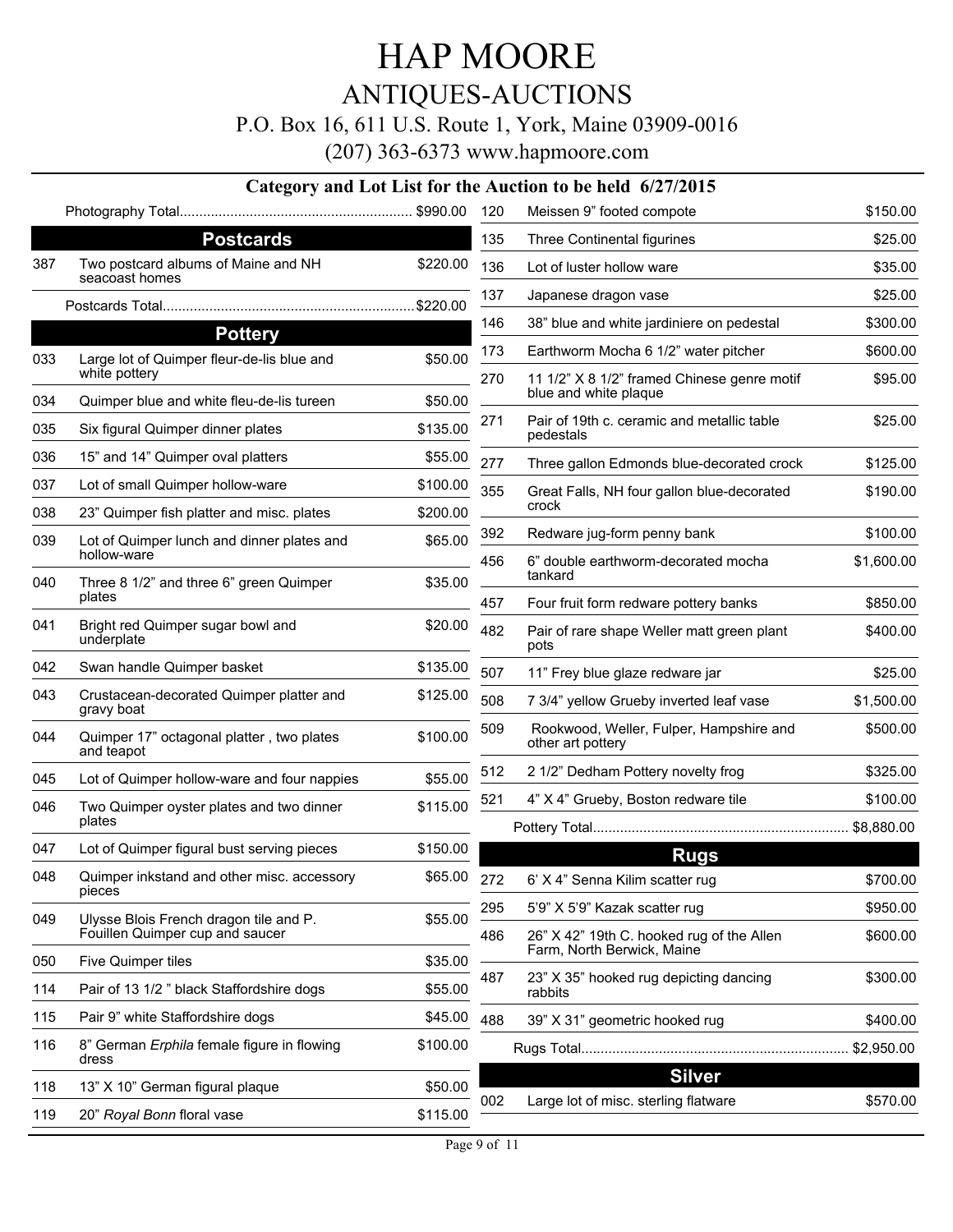ANTIQUES-AUCTIONS

P.O. Box 16, 611 U.S. Route 1, York, Maine 03909-0016

|     |                                                             |          |     | 1.0. DOA TO, 011 O.D. IWAN T, TOIR, MAIN 09707 0010<br>(207) 363-6373 www.hapmoore.com |            |
|-----|-------------------------------------------------------------|----------|-----|----------------------------------------------------------------------------------------|------------|
|     |                                                             |          |     | Category and Lot List for the Auction to be held 6/27/2015                             |            |
|     |                                                             |          | 120 | Meissen 9" footed compote                                                              | \$150.00   |
|     | <b>Postcards</b>                                            |          | 135 | Three Continental figurines                                                            | \$25.00    |
| 387 | Two postcard albums of Maine and NH                         | \$220.00 | 136 | Lot of luster hollow ware                                                              | \$35.00    |
|     | seacoast homes                                              |          | 137 | Japanese dragon vase                                                                   | \$25.00    |
|     |                                                             |          | 146 | 38" blue and white jardiniere on pedestal                                              | \$300.00   |
|     | <b>Pottery</b>                                              |          | 173 | Earthworm Mocha 6 1/2" water pitcher                                                   | \$600.00   |
| 033 | Large lot of Quimper fleur-de-lis blue and<br>white pottery | \$50.00  | 270 | 11 1/2" X 8 1/2" framed Chinese genre motif                                            | \$95.00    |
| 034 | Quimper blue and white fleu-de-lis tureen                   | \$50.00  |     | blue and white plaque                                                                  |            |
| 035 | Six figural Quimper dinner plates                           | \$135.00 | 271 | Pair of 19th c. ceramic and metallic table<br>pedestals                                | \$25.00    |
| 036 | 15" and 14" Quimper oval platters                           | \$55.00  | 277 | Three gallon Edmonds blue-decorated crock                                              | \$125.00   |
| 037 | Lot of small Quimper hollow-ware                            | \$100.00 | 355 | Great Falls, NH four gallon blue-decorated                                             | \$190.00   |
| 038 | 23" Quimper fish platter and misc. plates                   | \$200.00 |     | crock                                                                                  |            |
| 039 | Lot of Quimper lunch and dinner plates and<br>hollow-ware   | \$65.00  | 392 | Redware jug-form penny bank                                                            | \$100.00   |
| 040 | Three 8 1/2" and three 6" green Quimper                     | \$35.00  | 456 | 6" double earthworm-decorated mocha<br>tankard                                         | \$1,600.00 |
|     | plates                                                      |          | 457 | Four fruit form redware pottery banks                                                  | \$850.00   |
| 041 | Bright red Quimper sugar bowl and<br>underplate             | \$20.00  | 482 | Pair of rare shape Weller matt green plant<br>pots                                     | \$400.00   |
| 042 | Swan handle Quimper basket                                  | \$135.00 | 507 | 11" Frey blue glaze redware jar                                                        | \$25.00    |
| 043 | Crustacean-decorated Quimper platter and<br>gravy boat      | \$125.00 | 508 | 7 3/4" yellow Grueby inverted leaf vase                                                | \$1,500.00 |
| 044 | Quimper 17" octagonal platter, two plates<br>and teapot     | \$100.00 | 509 | Rookwood, Weller, Fulper, Hampshire and<br>other art pottery                           | \$500.00   |
| 045 | Lot of Quimper hollow-ware and four nappies                 | \$55.00  | 512 | 2 1/2" Dedham Pottery novelty frog                                                     | \$325.00   |
| 046 | Two Quimper oyster plates and two dinner                    | \$115.00 | 521 | 4" X 4" Grueby, Boston redware tile                                                    | \$100.00   |
|     | plates                                                      |          |     |                                                                                        | \$8,880.00 |
| 047 | Lot of Quimper figural bust serving pieces                  | \$150.00 |     | <b>Rugs</b>                                                                            |            |
| 048 | Quimper inkstand and other misc. accessory<br>pieces        | \$65.00  | 272 | 6' X 4" Senna Kilim scatter rug                                                        | \$700.00   |
| 049 | Ulysse Blois French dragon tile and P.                      | \$55.00  | 295 | 5'9" X 5'9" Kazak scatter rug                                                          | \$950.00   |
|     | Fouillen Quimper cup and saucer                             |          | 486 | 26" X 42" 19th C. hooked rug of the Allen<br>Farm, North Berwick, Maine                | \$600.00   |
| 050 | Five Quimper tiles                                          | \$35.00  |     |                                                                                        |            |
| 114 | Pair of 13 1/2 " black Staffordshire dogs                   | \$55.00  | 487 | 23" X 35" hooked rug depicting dancing<br>rabbits                                      | \$300.00   |
| 115 | Pair 9" white Staffordshire dogs                            | \$45.00  | 488 | 39" X 31" geometric hooked rug                                                         | \$400.00   |

Rugs Total..................................................................... \$2,950.00

116 8" German *Erphila* female figure in flowing **\$100.00** 

dress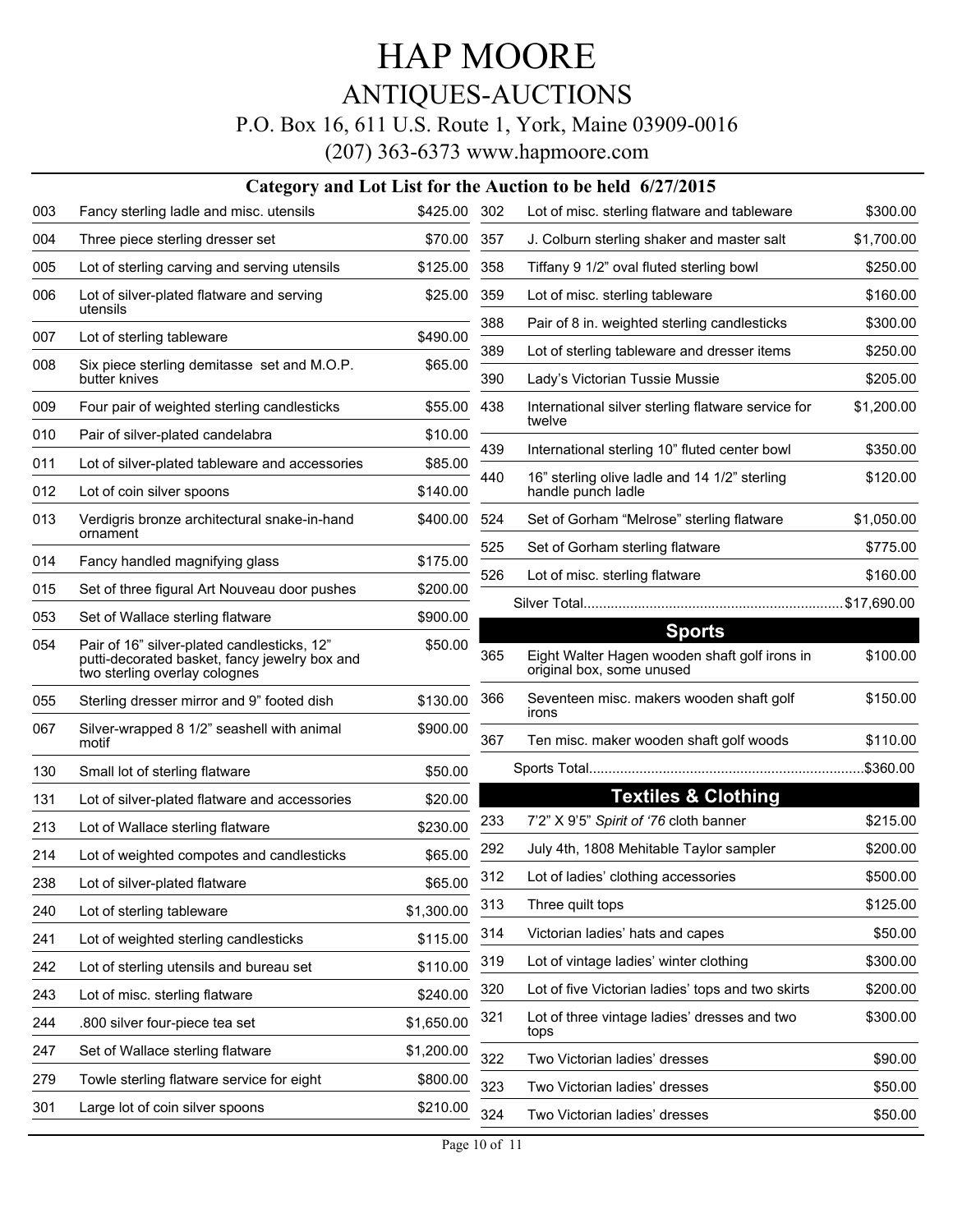### ANTIQUES-AUCTIONS

### P.O. Box 16, 611 U.S. Route 1, York, Maine 03909-0016

|     |                                                                                                                               |              |     | Category and Lot List for the Auction to be held 6/27/2015                 |            |
|-----|-------------------------------------------------------------------------------------------------------------------------------|--------------|-----|----------------------------------------------------------------------------|------------|
| 003 | Fancy sterling ladle and misc. utensils                                                                                       | \$425.00 302 |     | Lot of misc. sterling flatware and tableware                               | \$300.00   |
| 004 | Three piece sterling dresser set                                                                                              | \$70.00      | 357 | J. Colburn sterling shaker and master salt                                 | \$1,700.00 |
| 005 | Lot of sterling carving and serving utensils                                                                                  | \$125.00     | 358 | Tiffany 9 1/2" oval fluted sterling bowl                                   | \$250.00   |
| 006 | Lot of silver-plated flatware and serving<br>utensils                                                                         | \$25.00      | 359 | Lot of misc. sterling tableware                                            | \$160.00   |
| 007 | Lot of sterling tableware                                                                                                     | \$490.00     | 388 | Pair of 8 in. weighted sterling candlesticks                               | \$300.00   |
| 008 | Six piece sterling demitasse set and M.O.P.                                                                                   | \$65.00      | 389 | Lot of sterling tableware and dresser items                                | \$250.00   |
|     | butter knives                                                                                                                 |              | 390 | Lady's Victorian Tussie Mussie                                             | \$205.00   |
| 009 | Four pair of weighted sterling candlesticks                                                                                   | \$55.00      | 438 | International silver sterling flatware service for<br>twelve               | \$1,200.00 |
| 010 | Pair of silver-plated candelabra                                                                                              | \$10.00      | 439 |                                                                            |            |
| 011 | Lot of silver-plated tableware and accessories                                                                                | \$85.00      |     | International sterling 10" fluted center bowl                              | \$350.00   |
| 012 | Lot of coin silver spoons                                                                                                     | \$140.00     | 440 | 16" sterling olive ladle and 14 1/2" sterling<br>handle punch ladle        | \$120.00   |
| 013 | Verdigris bronze architectural snake-in-hand<br>ornament                                                                      | \$400.00     | 524 | Set of Gorham "Melrose" sterling flatware                                  | \$1,050.00 |
| 014 | Fancy handled magnifying glass                                                                                                | \$175.00     | 525 | Set of Gorham sterling flatware                                            | \$775.00   |
| 015 | Set of three figural Art Nouveau door pushes                                                                                  | \$200.00     | 526 | Lot of misc. sterling flatware                                             | \$160.00   |
|     |                                                                                                                               |              |     |                                                                            |            |
| 053 | Set of Wallace sterling flatware                                                                                              | \$900.00     |     | <b>Sports</b>                                                              |            |
| 054 | Pair of 16" silver-plated candlesticks, 12"<br>putti-decorated basket, fancy jewelry box and<br>two sterling overlay colognes | \$50.00      | 365 | Eight Walter Hagen wooden shaft golf irons in<br>original box, some unused | \$100.00   |
| 055 | Sterling dresser mirror and 9" footed dish                                                                                    | \$130.00     | 366 | Seventeen misc. makers wooden shaft golf<br>irons                          | \$150.00   |
| 067 | Silver-wrapped 8 1/2" seashell with animal<br>motif                                                                           | \$900.00     | 367 | Ten misc. maker wooden shaft golf woods                                    | \$110.00   |
| 130 | Small lot of sterling flatware                                                                                                | \$50.00      |     |                                                                            | .\$360.00  |
| 131 | Lot of silver-plated flatware and accessories                                                                                 | \$20.00      |     | <b>Textiles &amp; Clothing</b>                                             |            |
| 213 | Lot of Wallace sterling flatware                                                                                              | \$230.00     | 233 | 7'2" X 9'5" Spirit of '76 cloth banner                                     | \$215.00   |
| 214 | Lot of weighted compotes and candlesticks                                                                                     | \$65.00      | 292 | July 4th, 1808 Mehitable Taylor sampler                                    | \$200.00   |
| 238 | Lot of silver-plated flatware                                                                                                 | \$65.00      | 312 | Lot of ladies' clothing accessories                                        | \$500.00   |
| 240 | Lot of sterling tableware                                                                                                     | \$1,300.00   | 313 | Three quilt tops                                                           | \$125.00   |
| 241 | Lot of weighted sterling candlesticks                                                                                         | \$115.00     | 314 | Victorian ladies' hats and capes                                           | \$50.00    |
| 242 | Lot of sterling utensils and bureau set                                                                                       | \$110.00     | 319 | Lot of vintage ladies' winter clothing                                     | \$300.00   |
| 243 | Lot of misc. sterling flatware                                                                                                | \$240.00     | 320 | Lot of five Victorian ladies' tops and two skirts                          | \$200.00   |
| 244 | .800 silver four-piece tea set                                                                                                | \$1,650.00   | 321 | Lot of three vintage ladies' dresses and two<br>tops                       | \$300.00   |
| 247 | Set of Wallace sterling flatware                                                                                              | \$1,200.00   | 322 | Two Victorian ladies' dresses                                              | \$90.00    |
| 279 | Towle sterling flatware service for eight                                                                                     | \$800.00     | 323 | Two Victorian ladies' dresses                                              | \$50.00    |
| 301 | Large lot of coin silver spoons                                                                                               | \$210.00     | 324 | Two Victorian ladies' dresses                                              | \$50.00    |
|     |                                                                                                                               |              |     |                                                                            |            |